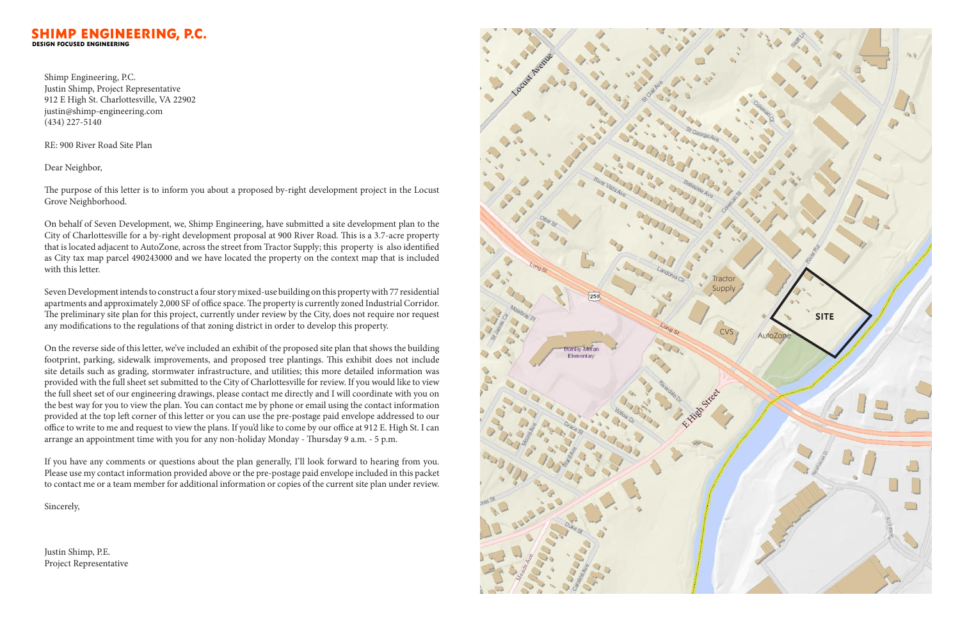## **SHIMP ENGINEERING, P.C.**

Shimp Engineering, P.C. Justin Shimp, Project Representative 912 E High St. Charlottesville, VA 22902 justin@shimp-engineering.com (434) 227-5140

RE: 900 River Road Site Plan

Dear Neighbor,

The purpose of this letter is to inform you about a proposed by-right development project in the Locust Grove Neighborhood.

On behalf of Seven Development, we, Shimp Engineering, have submitted a site development plan to the City of Charlottesville for a by-right development proposal at 900 River Road. This is a 3.7-acre property that is located adjacent to AutoZone, across the street from Tractor Supply; this property is also identified as City tax map parcel 490243000 and we have located the property on the context map that is included with this letter.

Seven Development intends to construct a four story mixed-use building on this property with 77 residential apartments and approximately 2,000 SF of office space. The property is currently zoned Industrial Corridor. The preliminary site plan for this project, currently under review by the City, does not require nor request any modifications to the regulations of that zoning district in order to develop this property.

On the reverse side of this letter, we've included an exhibit of the proposed site plan that shows the building footprint, parking, sidewalk improvements, and proposed tree plantings. This exhibit does not include site details such as grading, stormwater infrastructure, and utilities; this more detailed information was provided with the full sheet set submitted to the City of Charlottesville for review. If you would like to view the full sheet set of our engineering drawings, please contact me directly and I will coordinate with you on the best way for you to view the plan. You can contact me by phone or email using the contact information provided at the top left corner of this letter or you can use the pre-postage paid envelope addressed to our office to write to me and request to view the plans. If you'd like to come by our office at 912 E. High St. I can arrange an appointment time with you for any non-holiday Monday - Thursday 9 a.m. - 5 p.m.

If you have any comments or questions about the plan generally, I'll look forward to hearing from you. Please use my contact information provided above or the pre-postage paid envelope included in this packet to contact me or a team member for additional information or copies of the current site plan under review.

Sincerely,

Justin Shimp, P.E. Project Representative